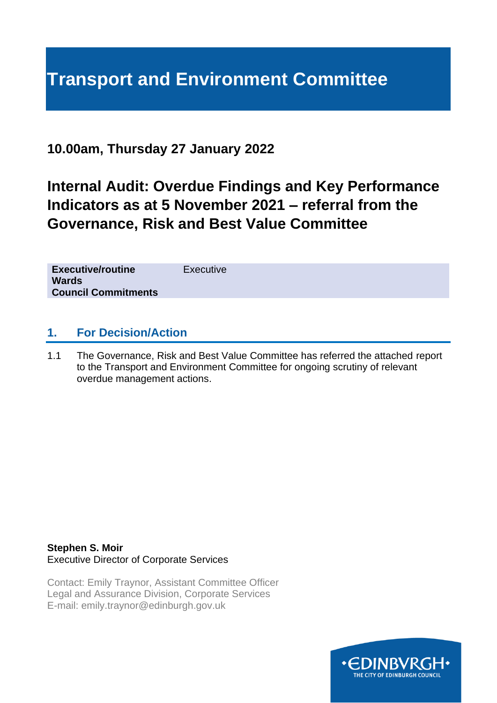# **Transport and Environment Committee**

## **10.00am, Thursday 27 January 2022**

# **Internal Audit: Overdue Findings and Key Performance Indicators as at 5 November 2021 – referral from the Governance, Risk and Best Value Committee**

| <b>Executive/routine</b><br><b>Wards</b><br><b>Council Commitments</b> | Executive |
|------------------------------------------------------------------------|-----------|
|                                                                        |           |

### **1. For Decision/Action**

1.1 The Governance, Risk and Best Value Committee has referred the attached report to the Transport and Environment Committee for ongoing scrutiny of relevant overdue management actions.

#### **Stephen S. Moir** Executive Director of Corporate Services

Contact: Emily Traynor, Assistant Committee Officer Legal and Assurance Division, Corporate Services E-mail: emily.traynor@edinburgh.gov.uk

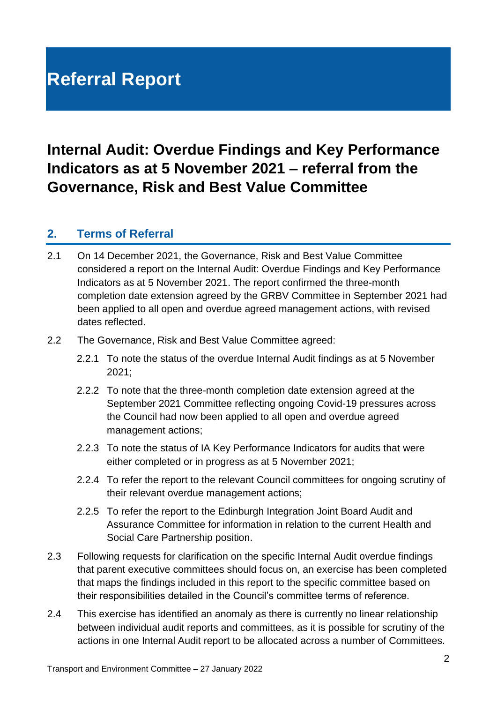# **Referral Report**

# **Internal Audit: Overdue Findings and Key Performance Indicators as at 5 November 2021 – referral from the Governance, Risk and Best Value Committee**

#### **2. Terms of Referral**

- 2.1 On 14 December 2021, the Governance, Risk and Best Value Committee considered a report on the Internal Audit: Overdue Findings and Key Performance Indicators as at 5 November 2021. The report confirmed the three-month completion date extension agreed by the GRBV Committee in September 2021 had been applied to all open and overdue agreed management actions, with revised dates reflected.
- 2.2 The Governance, Risk and Best Value Committee agreed:
	- 2.2.1 To note the status of the overdue Internal Audit findings as at 5 November 2021;
	- 2.2.2 To note that the three-month completion date extension agreed at the September 2021 Committee reflecting ongoing Covid-19 pressures across the Council had now been applied to all open and overdue agreed management actions;
	- 2.2.3 To note the status of IA Key Performance Indicators for audits that were either completed or in progress as at 5 November 2021;
	- 2.2.4 To refer the report to the relevant Council committees for ongoing scrutiny of their relevant overdue management actions;
	- 2.2.5 To refer the report to the Edinburgh Integration Joint Board Audit and Assurance Committee for information in relation to the current Health and Social Care Partnership position.
- 2.3 Following requests for clarification on the specific Internal Audit overdue findings that parent executive committees should focus on, an exercise has been completed that maps the findings included in this report to the specific committee based on their responsibilities detailed in the Council's committee terms of reference.
- 2.4 This exercise has identified an anomaly as there is currently no linear relationship between individual audit reports and committees, as it is possible for scrutiny of the actions in one Internal Audit report to be allocated across a number of Committees.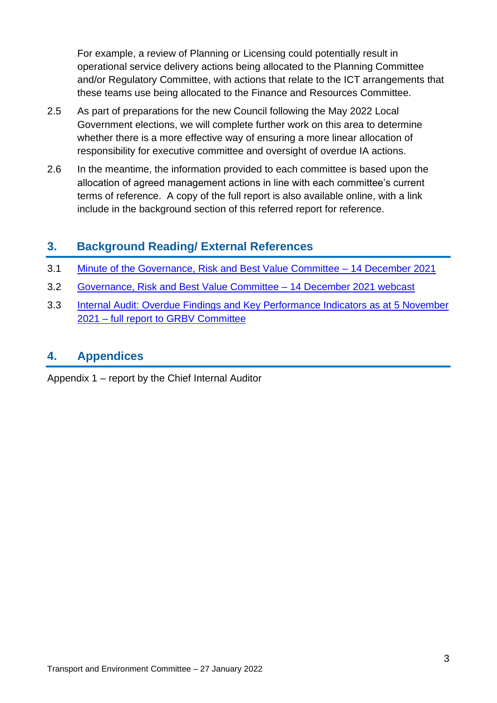For example, a review of Planning or Licensing could potentially result in operational service delivery actions being allocated to the Planning Committee and/or Regulatory Committee, with actions that relate to the ICT arrangements that these teams use being allocated to the Finance and Resources Committee.

- 2.5 As part of preparations for the new Council following the May 2022 Local Government elections, we will complete further work on this area to determine whether there is a more effective way of ensuring a more linear allocation of responsibility for executive committee and oversight of overdue IA actions.
- 2.6 In the meantime, the information provided to each committee is based upon the allocation of agreed management actions in line with each committee's current terms of reference. A copy of the full report is also available online, with a link include in the background section of this referred report for reference.

## **3. Background Reading/ External References**

- 3.1 [Minute of the Governance, Risk and Best Value Committee –](https://democracy.edinburgh.gov.uk/documents/s41603/4.1%20-%20Minute%20-%20GRBV%20-%2014%20December%202021.pdf) 14 December 2021
- 3.2 [Governance, Risk and Best Value Committee –](https://edinburgh.public-i.tv/core/portal/webcast_interactive/628079) 14 December 2021 webcast
- 3.3 [Internal Audit: Overdue Findings and Key Performance Indicators as at 5 November](https://democracy.edinburgh.gov.uk/documents/s41247/8.1%20-%20Internal%20Audit%20Overdue%20Findings%20and%20Key%20Performance%20Indicators%20as%20at%205%20November%202021.pdf)  2021 – [full report to GRBV Committee](https://democracy.edinburgh.gov.uk/documents/s41247/8.1%20-%20Internal%20Audit%20Overdue%20Findings%20and%20Key%20Performance%20Indicators%20as%20at%205%20November%202021.pdf)

### **4. Appendices**

Appendix 1 – report by the Chief Internal Auditor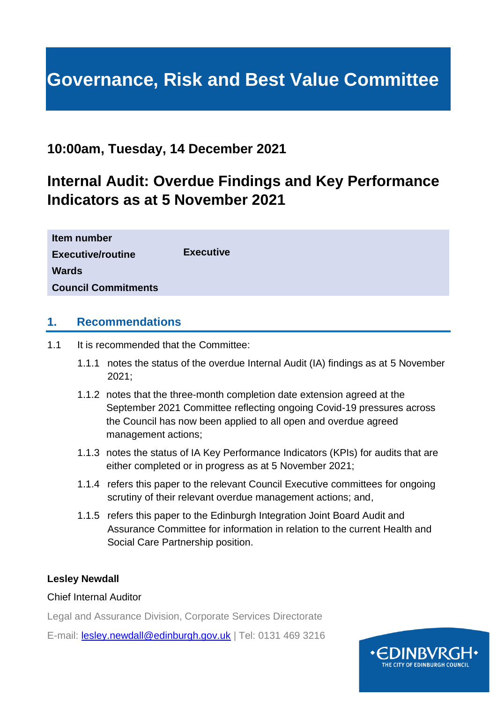# **Governance, Risk and Best Value Committee**

## **10:00am, Tuesday, 14 December 2021**

# **Internal Audit: Overdue Findings and Key Performance Indicators as at 5 November 2021**

| Item number                |                  |
|----------------------------|------------------|
| <b>Executive/routine</b>   | <b>Executive</b> |
| <b>Wards</b>               |                  |
| <b>Council Commitments</b> |                  |

#### **1. Recommendations**

- 1.1 It is recommended that the Committee:
	- 1.1.1 notes the status of the overdue Internal Audit (IA) findings as at 5 November 2021;
	- 1.1.2 notes that the three-month completion date extension agreed at the September 2021 Committee reflecting ongoing Covid-19 pressures across the Council has now been applied to all open and overdue agreed management actions;
	- 1.1.3 notes the status of IA Key Performance Indicators (KPIs) for audits that are either completed or in progress as at 5 November 2021;
	- 1.1.4 refers this paper to the relevant Council Executive committees for ongoing scrutiny of their relevant overdue management actions; and,
	- 1.1.5 refers this paper to the Edinburgh Integration Joint Board Audit and Assurance Committee for information in relation to the current Health and Social Care Partnership position.

#### **Lesley Newdall**

#### Chief Internal Auditor

Legal and Assurance Division, Corporate Services Directorate

E-mail: [lesley.newdall@edinburgh.gov.uk](mailto:lesley.newdall@edinburgh.gov.uk) | Tel: 0131 469 3216

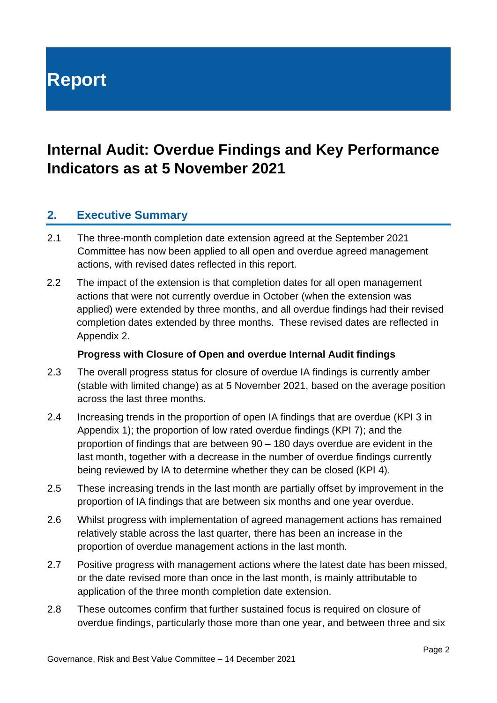**Report**

## **Internal Audit: Overdue Findings and Key Performance Indicators as at 5 November 2021**

#### **2. Executive Summary**

- 2.1 The three-month completion date extension agreed at the September 2021 Committee has now been applied to all open and overdue agreed management actions, with revised dates reflected in this report.
- 2.2 The impact of the extension is that completion dates for all open management actions that were not currently overdue in October (when the extension was applied) were extended by three months, and all overdue findings had their revised completion dates extended by three months. These revised dates are reflected in Appendix 2.

#### **Progress with Closure of Open and overdue Internal Audit findings**

- 2.3 The overall progress status for closure of overdue IA findings is currently amber (stable with limited change) as at 5 November 2021, based on the average position across the last three months.
- 2.4 Increasing trends in the proportion of open IA findings that are overdue (KPI 3 in Appendix 1); the proportion of low rated overdue findings (KPI 7); and the proportion of findings that are between 90 – 180 days overdue are evident in the last month, together with a decrease in the number of overdue findings currently being reviewed by IA to determine whether they can be closed (KPI 4).
- 2.5 These increasing trends in the last month are partially offset by improvement in the proportion of IA findings that are between six months and one year overdue.
- 2.6 Whilst progress with implementation of agreed management actions has remained relatively stable across the last quarter, there has been an increase in the proportion of overdue management actions in the last month.
- 2.7 Positive progress with management actions where the latest date has been missed, or the date revised more than once in the last month, is mainly attributable to application of the three month completion date extension.
- 2.8 These outcomes confirm that further sustained focus is required on closure of overdue findings, particularly those more than one year, and between three and six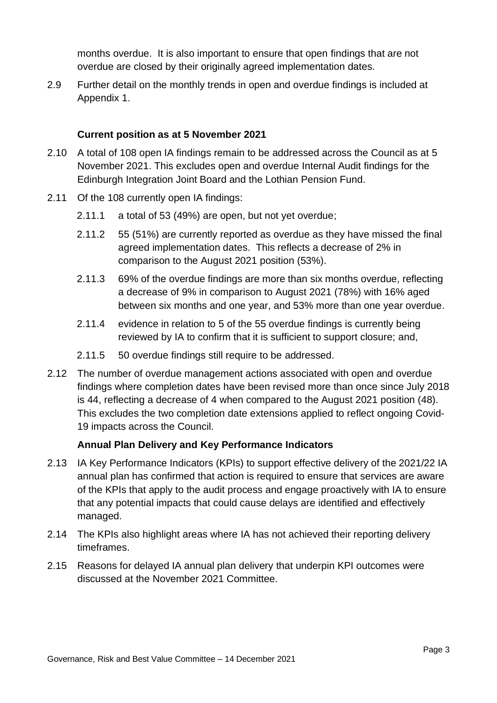months overdue. It is also important to ensure that open findings that are not overdue are closed by their originally agreed implementation dates.

2.9 Further detail on the monthly trends in open and overdue findings is included at Appendix 1.

#### **Current position as at 5 November 2021**

- 2.10 A total of 108 open IA findings remain to be addressed across the Council as at 5 November 2021. This excludes open and overdue Internal Audit findings for the Edinburgh Integration Joint Board and the Lothian Pension Fund.
- 2.11 Of the 108 currently open IA findings:
	- 2.11.1 a total of 53 (49%) are open, but not yet overdue;
	- 2.11.2 55 (51%) are currently reported as overdue as they have missed the final agreed implementation dates. This reflects a decrease of 2% in comparison to the August 2021 position (53%).
	- 2.11.3 69% of the overdue findings are more than six months overdue, reflecting a decrease of 9% in comparison to August 2021 (78%) with 16% aged between six months and one year, and 53% more than one year overdue.
	- 2.11.4 evidence in relation to 5 of the 55 overdue findings is currently being reviewed by IA to confirm that it is sufficient to support closure; and,
	- 2.11.5 50 overdue findings still require to be addressed.
- 2.12 The number of overdue management actions associated with open and overdue findings where completion dates have been revised more than once since July 2018 is 44, reflecting a decrease of 4 when compared to the August 2021 position (48). This excludes the two completion date extensions applied to reflect ongoing Covid-19 impacts across the Council.

#### **Annual Plan Delivery and Key Performance Indicators**

- 2.13 IA Key Performance Indicators (KPIs) to support effective delivery of the 2021/22 IA annual plan has confirmed that action is required to ensure that services are aware of the KPIs that apply to the audit process and engage proactively with IA to ensure that any potential impacts that could cause delays are identified and effectively managed.
- 2.14 The KPIs also highlight areas where IA has not achieved their reporting delivery timeframes.
- 2.15 Reasons for delayed IA annual plan delivery that underpin KPI outcomes were discussed at the November 2021 Committee.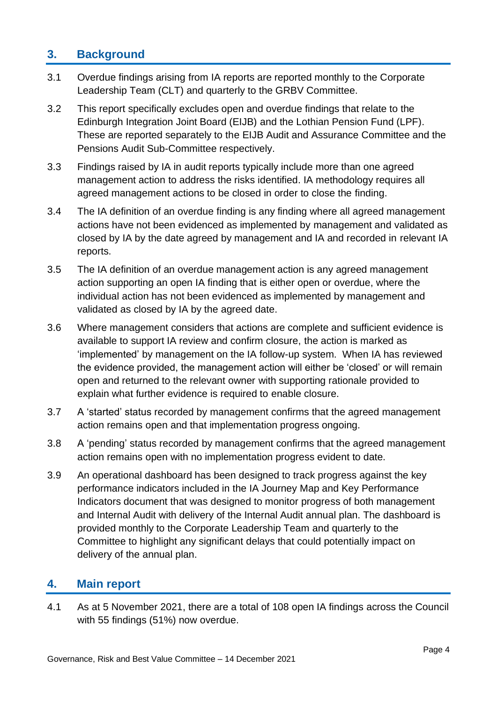#### **3. Background**

- 3.1 Overdue findings arising from IA reports are reported monthly to the Corporate Leadership Team (CLT) and quarterly to the GRBV Committee.
- 3.2 This report specifically excludes open and overdue findings that relate to the Edinburgh Integration Joint Board (EIJB) and the Lothian Pension Fund (LPF). These are reported separately to the EIJB Audit and Assurance Committee and the Pensions Audit Sub-Committee respectively.
- 3.3 Findings raised by IA in audit reports typically include more than one agreed management action to address the risks identified. IA methodology requires all agreed management actions to be closed in order to close the finding.
- 3.4 The IA definition of an overdue finding is any finding where all agreed management actions have not been evidenced as implemented by management and validated as closed by IA by the date agreed by management and IA and recorded in relevant IA reports.
- 3.5 The IA definition of an overdue management action is any agreed management action supporting an open IA finding that is either open or overdue, where the individual action has not been evidenced as implemented by management and validated as closed by IA by the agreed date.
- 3.6 Where management considers that actions are complete and sufficient evidence is available to support IA review and confirm closure, the action is marked as 'implemented' by management on the IA follow-up system. When IA has reviewed the evidence provided, the management action will either be 'closed' or will remain open and returned to the relevant owner with supporting rationale provided to explain what further evidence is required to enable closure.
- 3.7 A 'started' status recorded by management confirms that the agreed management action remains open and that implementation progress ongoing.
- 3.8 A 'pending' status recorded by management confirms that the agreed management action remains open with no implementation progress evident to date.
- 3.9 An operational dashboard has been designed to track progress against the key performance indicators included in the IA Journey Map and Key Performance Indicators document that was designed to monitor progress of both management and Internal Audit with delivery of the Internal Audit annual plan. The dashboard is provided monthly to the Corporate Leadership Team and quarterly to the Committee to highlight any significant delays that could potentially impact on delivery of the annual plan.

#### **4. Main report**

4.1 As at 5 November 2021, there are a total of 108 open IA findings across the Council with 55 findings (51%) now overdue.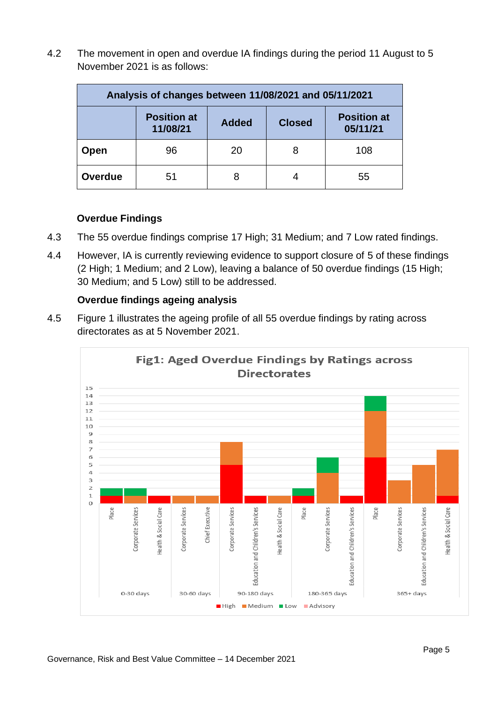4.2 The movement in open and overdue IA findings during the period 11 August to 5 November 2021 is as follows:

| Analysis of changes between 11/08/2021 and 05/11/2021 |                                |              |               |                                |  |  |  |  |  |  |  |  |
|-------------------------------------------------------|--------------------------------|--------------|---------------|--------------------------------|--|--|--|--|--|--|--|--|
|                                                       | <b>Position at</b><br>11/08/21 | <b>Added</b> | <b>Closed</b> | <b>Position at</b><br>05/11/21 |  |  |  |  |  |  |  |  |
| Open                                                  | 96                             | 20           | 8             | 108                            |  |  |  |  |  |  |  |  |
| Overdue                                               | 51                             | 8            |               | 55                             |  |  |  |  |  |  |  |  |

#### **Overdue Findings**

- 4.3 The 55 overdue findings comprise 17 High; 31 Medium; and 7 Low rated findings.
- 4.4 However, IA is currently reviewing evidence to support closure of 5 of these findings (2 High; 1 Medium; and 2 Low), leaving a balance of 50 overdue findings (15 High; 30 Medium; and 5 Low) still to be addressed.

#### **Overdue findings ageing analysis**

4.5 Figure 1 illustrates the ageing profile of all 55 overdue findings by rating across directorates as at 5 November 2021.

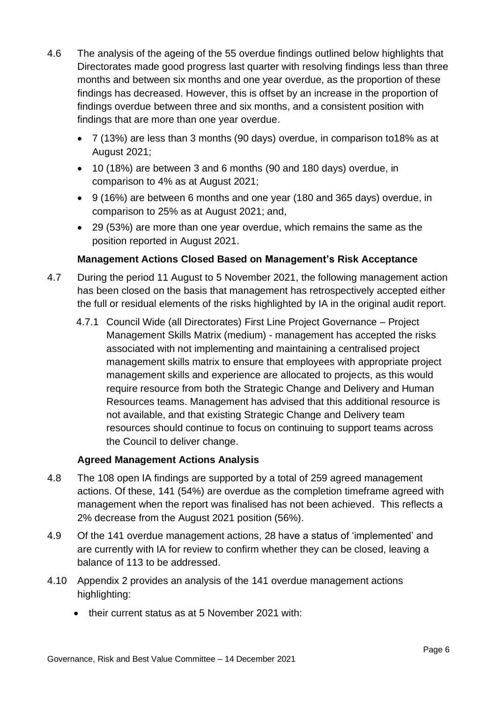- 4.6 The analysis of the ageing of the 55 overdue findings outlined below highlights that Directorates made good progress last quarter with resolving findings less than three months and between six months and one year overdue, as the proportion of these findings has decreased. However, this is offset by an increase in the proportion of findings overdue between three and six months, and a consistent position with findings that are more than one year overdue.
	- 7 (13%) are less than 3 months (90 days) overdue, in comparison to18% as at August 2021;
	- 10 (18%) are between 3 and 6 months (90 and 180 days) overdue, in comparison to 4% as at August 2021;
	- 9 (16%) are between 6 months and one year (180 and 365 days) overdue, in comparison to 25% as at August 2021; and,
	- 29 (53%) are more than one year overdue, which remains the same as the position reported in August 2021.

#### **Management Actions Closed Based on Management's Risk Acceptance**

- 4.7 During the period 11 August to 5 November 2021, the following management action has been closed on the basis that management has retrospectively accepted either the full or residual elements of the risks highlighted by IA in the original audit report.
	- 4.7.1 Council Wide (all Directorates) First Line Project Governance Project Management Skills Matrix (medium) - management has accepted the risks associated with not implementing and maintaining a centralised project management skills matrix to ensure that employees with appropriate project management skills and experience are allocated to projects, as this would require resource from both the Strategic Change and Delivery and Human Resources teams. Management has advised that this additional resource is not available, and that existing Strategic Change and Delivery team resources should continue to focus on continuing to support teams across the Council to deliver change.

#### **Agreed Management Actions Analysis**

- 4.8 The 108 open IA findings are supported by a total of 259 agreed management actions. Of these, 141 (54%) are overdue as the completion timeframe agreed with management when the report was finalised has not been achieved. This reflects a 2% decrease from the August 2021 position (56%).
- 4.9 Of the 141 overdue management actions, 28 have a status of 'implemented' and are currently with IA for review to confirm whether they can be closed, leaving a balance of 113 to be addressed.
- 4.10 Appendix 2 provides an analysis of the 141 overdue management actions highlighting:
	- their current status as at 5 November 2021 with: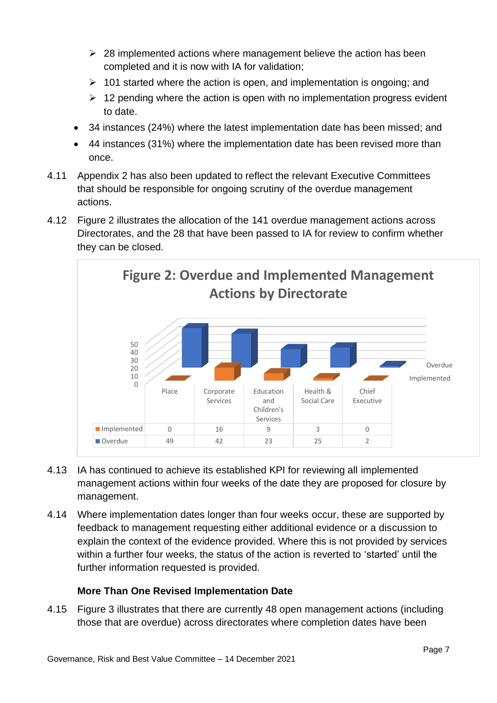- $\geq$  28 implemented actions where management believe the action has been completed and it is now with IA for validation;
- $\geq 101$  started where the action is open, and implementation is ongoing; and
- $\geq 12$  pending where the action is open with no implementation progress evident to date.
- 34 instances (24%) where the latest implementation date has been missed; and
- 44 instances (31%) where the implementation date has been revised more than once.
- 4.11 Appendix 2 has also been updated to reflect the relevant Executive Committees that should be responsible for ongoing scrutiny of the overdue management actions.
- 4.12 Figure 2 illustrates the allocation of the 141 overdue management actions across Directorates, and the 28 that have been passed to IA for review to confirm whether they can be closed.



- 4.13 IA has continued to achieve its established KPI for reviewing all implemented management actions within four weeks of the date they are proposed for closure by management.
- 4.14 Where implementation dates longer than four weeks occur, these are supported by feedback to management requesting either additional evidence or a discussion to explain the context of the evidence provided. Where this is not provided by services within a further four weeks, the status of the action is reverted to 'started' until the further information requested is provided.

#### **More Than One Revised Implementation Date**

4.15 Figure 3 illustrates that there are currently 48 open management actions (including those that are overdue) across directorates where completion dates have been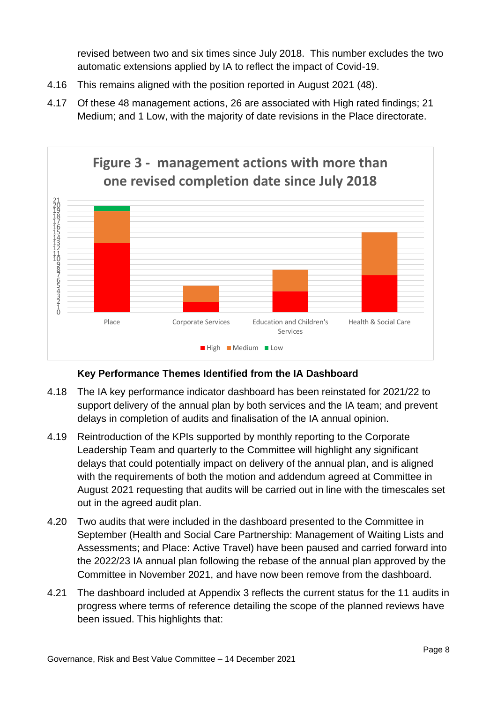revised between two and six times since July 2018. This number excludes the two automatic extensions applied by IA to reflect the impact of Covid-19.

- 4.16 This remains aligned with the position reported in August 2021 (48).
- 4.17 Of these 48 management actions, 26 are associated with High rated findings; 21 Medium; and 1 Low, with the majority of date revisions in the Place directorate.



#### **Key Performance Themes Identified from the IA Dashboard**

- 4.18 The IA key performance indicator dashboard has been reinstated for 2021/22 to support delivery of the annual plan by both services and the IA team; and prevent delays in completion of audits and finalisation of the IA annual opinion.
- 4.19 Reintroduction of the KPIs supported by monthly reporting to the Corporate Leadership Team and quarterly to the Committee will highlight any significant delays that could potentially impact on delivery of the annual plan, and is aligned with the requirements of both the motion and addendum agreed at Committee in August 2021 requesting that audits will be carried out in line with the timescales set out in the agreed audit plan.
- 4.20 Two audits that were included in the dashboard presented to the Committee in September (Health and Social Care Partnership: Management of Waiting Lists and Assessments; and Place: Active Travel) have been paused and carried forward into the 2022/23 IA annual plan following the rebase of the annual plan approved by the Committee in November 2021, and have now been remove from the dashboard.
- 4.21 The dashboard included at Appendix 3 reflects the current status for the 11 audits in progress where terms of reference detailing the scope of the planned reviews have been issued. This highlights that: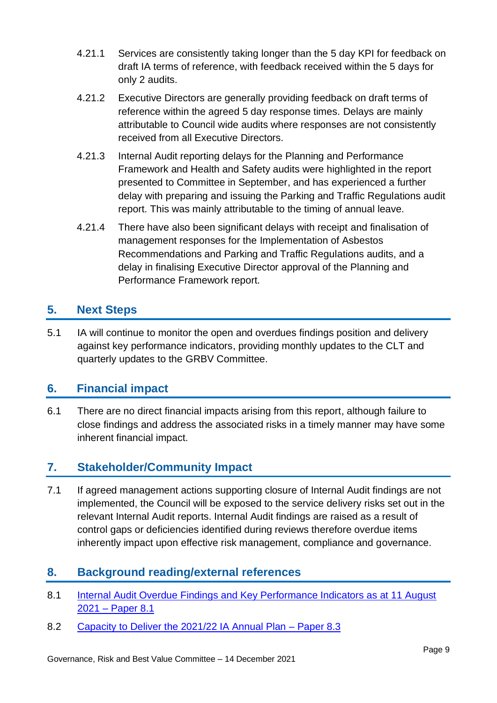- 4.21.1 Services are consistently taking longer than the 5 day KPI for feedback on draft IA terms of reference, with feedback received within the 5 days for only 2 audits.
- 4.21.2 Executive Directors are generally providing feedback on draft terms of reference within the agreed 5 day response times. Delays are mainly attributable to Council wide audits where responses are not consistently received from all Executive Directors.
- 4.21.3 Internal Audit reporting delays for the Planning and Performance Framework and Health and Safety audits were highlighted in the report presented to Committee in September, and has experienced a further delay with preparing and issuing the Parking and Traffic Regulations audit report. This was mainly attributable to the timing of annual leave.
- 4.21.4 There have also been significant delays with receipt and finalisation of management responses for the Implementation of Asbestos Recommendations and Parking and Traffic Regulations audits, and a delay in finalising Executive Director approval of the Planning and Performance Framework report.

### **5. Next Steps**

5.1 IA will continue to monitor the open and overdues findings position and delivery against key performance indicators, providing monthly updates to the CLT and quarterly updates to the GRBV Committee.

### **6. Financial impact**

6.1 There are no direct financial impacts arising from this report, although failure to close findings and address the associated risks in a timely manner may have some inherent financial impact.

### **7. Stakeholder/Community Impact**

7.1 If agreed management actions supporting closure of Internal Audit findings are not implemented, the Council will be exposed to the service delivery risks set out in the relevant Internal Audit reports. Internal Audit findings are raised as a result of control gaps or deficiencies identified during reviews therefore overdue items inherently impact upon effective risk management, compliance and governance.

### **8. Background reading/external references**

- 8.1 Internal Audit Overdue Findings and Key Performance Indicators as at 11 August 2021 – [Paper 8.1](https://democracy.edinburgh.gov.uk/ieListDocuments.aspx?CId=138&MId=6131&Ver=4)
- 8.2 [Capacity to Deliver the 2021/22 IA Annual Plan –](https://democracy.edinburgh.gov.uk/ieListDocuments.aspx?CId=138&MId=6132&Ver=4) Paper 8.3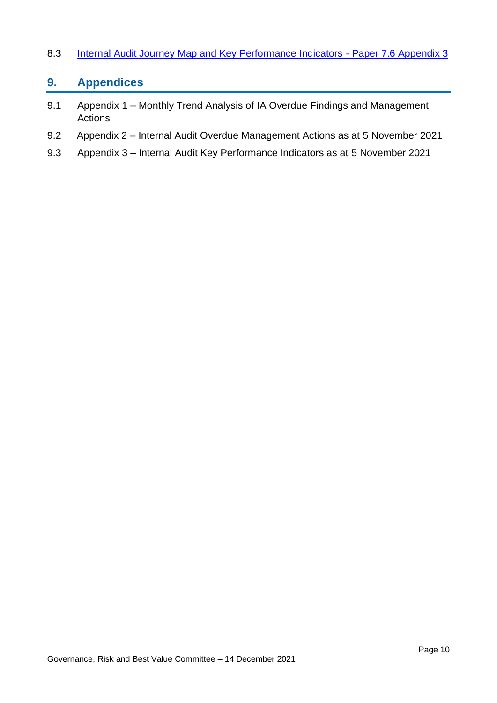#### 8.3 [Internal Audit Journey Map and Key Performance Indicators -](https://democracy.edinburgh.gov.uk/CeListDocuments.aspx?CommitteeId=138&MeetingId=2455&DF=15%2f01%2f2019&Ver=2) Paper 7.6 Appendix 3

### **9. Appendices**

- 9.1 Appendix 1 Monthly Trend Analysis of IA Overdue Findings and Management Actions
- 9.2 Appendix 2 Internal Audit Overdue Management Actions as at 5 November 2021
- 9.3 Appendix 3 Internal Audit Key Performance Indicators as at 5 November 2021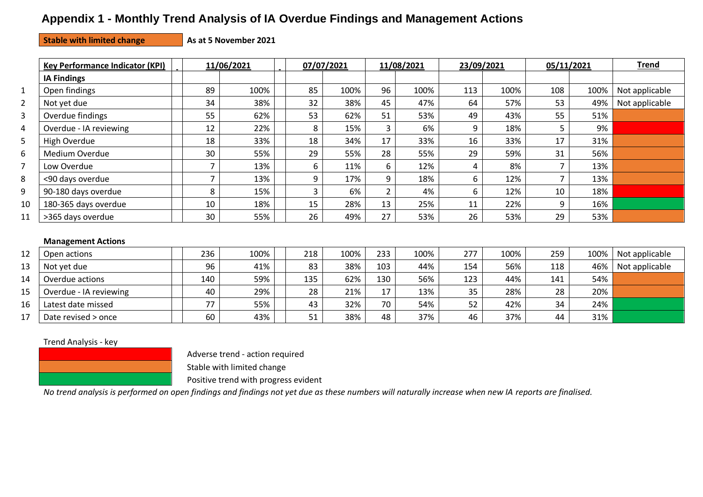## **Appendix 1 - Monthly Trend Analysis of IA Overdue Findings and Management Actions**

#### **Stable with limited change As at 5 November 2021**

|                | <b>Key Performance Indicator (KPI)</b> |     | 11/06/2021 |     | 07/07/2021 |                | 11/08/2021 | 23/09/2021 |      | 05/11/2021 |      | <b>Trend</b>   |
|----------------|----------------------------------------|-----|------------|-----|------------|----------------|------------|------------|------|------------|------|----------------|
|                | <b>IA Findings</b>                     |     |            |     |            |                |            |            |      |            |      |                |
| $\mathbf{1}$   | Open findings                          | 89  | 100%       | 85  | 100%       | 96             | 100%       | 113        | 100% | 108        | 100% | Not applicable |
| $\overline{2}$ | Not yet due                            | 34  | 38%        | 32  | 38%        | 45             | 47%        | 64         | 57%  | 53         | 49%  | Not applicable |
| 3              | Overdue findings                       | 55  | 62%        | 53  | 62%        | 51             | 53%        | 49         | 43%  | 55         | 51%  |                |
| 4              | Overdue - IA reviewing                 | 12  | 22%        | 8   | 15%        | 3              | 6%         | 9          | 18%  | 5          | 9%   |                |
| 5              | High Overdue                           | 18  | 33%        | 18  | 34%        | 17             | 33%        | 16         | 33%  | 17         | 31%  |                |
| 6              | Medium Overdue                         | 30  | 55%        | 29  | 55%        | 28             | 55%        | 29         | 59%  | 31         | 56%  |                |
| 7              | Low Overdue                            |     | 13%        | 6   | 11%        | 6              | 12%        | 4          | 8%   |            | 13%  |                |
| 8              | <90 days overdue                       | ⇁   | 13%        | 9   | 17%        | 9              | 18%        | 6          | 12%  | 7          | 13%  |                |
| 9              | 90-180 days overdue                    | 8   | 15%        | 3   | 6%         | $\overline{2}$ | 4%         | 6          | 12%  | 10         | 18%  |                |
| 10             | 180-365 days overdue                   | 10  | 18%        | 15  | 28%        | 13             | 25%        | 11         | 22%  | 9          | 16%  |                |
| 11             | >365 days overdue                      | 30  | 55%        | 26  | 49%        | 27             | 53%        | 26         | 53%  | 29         | 53%  |                |
|                | <b>Management Actions</b>              |     |            |     |            |                |            |            |      |            |      |                |
| 12             | Open actions                           | 236 | 100%       | 218 | 100%       | 233            | 100%       | 277        | 100% | 259        | 100% | Not applicable |
| 13             | Not yet due                            | 96  | 41%        | 83  | 38%        | 103            | 44%        | 154        | 56%  | 118        | 46%  | Not applicable |
| 14             | Overdue actions                        | 140 | 59%        | 135 | 62%        | 130            | 56%        | 123        | 44%  | 141        | 54%  |                |
| 15             | Overdue - IA reviewing                 | 40  | 29%        | 28  | 21%        | 17             | 13%        | 35         | 28%  | 28         | 20%  |                |
| 16             | Latest date missed                     | 77  | 55%        | 43  | 32%        | 70             | 54%        | 52         | 42%  | 34         | 24%  |                |

#### Trend Analysis - key



Adverse trend - action required

Stable with limited change

Positive trend with progress evident

*No trend analysis is performed on open findings and findings not yet due as these numbers will naturally increase when new IA reports are finalised.* 

17 | Date revised > once | | 60 | 43% | 51 | 38% | 48 | 37% | 46 | 37% | 44 | 31%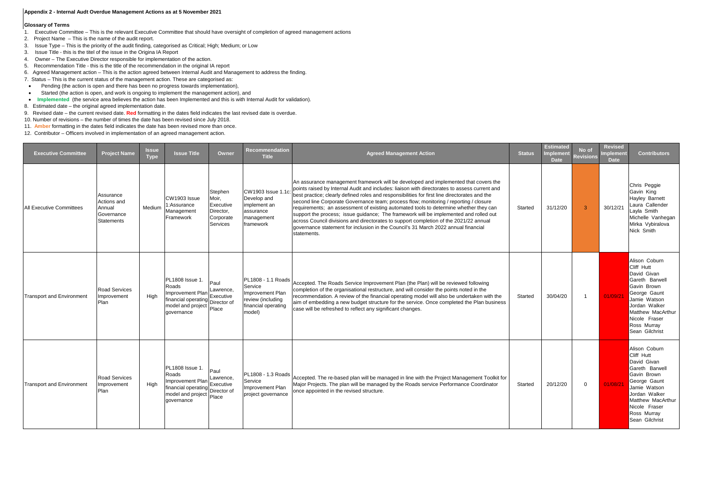#### **Appendix 2 - Internal Audt Overdue Management Actions as at 5 November 2021**

#### **Glossary of Terms**

- 1. Executive Committee This is the relevant Executive Committee that should have oversight of completion of agreed management actions
- 2. Project Name This is the name of the audit report.
- 3. Issue Type This is the priority of the audit finding, categorised as Critical; High; Medium; or Low
- 3. Issue Title this is the titel of the issue in the Origina IA Report
- 4. Owner The Executive Director responsible for implementation of the action.
- 5. Recommendation Title this is the title of the recommendation in the original IA report
- 6. Agreed Management action This is the action agreed between Internal Audit and Management to address the finding.
- 7. Status This is the current status of the management action. These are categorised as:
- Pending (the action is open and there has been no progress towards implementation),
- Started (the action is open, and work is ongoing to implement the management action), and
- Implemented (the service area believes the action has been Implemented and this is with Internal Audit for validation).
- 8. Estimated date the original agreed implementation date.
- 9. Revised date the current revised date. **Red** formatting in the dates field indicates the last revised date is overdue.
- 10. Number of revisions the number of times the date has been revised since July 2018.
- 11. **Amber** formatting in the dates field indicates the date has been revised more than once.
- 12. Contributor Officers involved in implementation of an agreed management action.

| <b>Executive Committee</b>       | <b>Project Name</b>                                            | <b>Issue</b><br><b>Type</b> | <b>Issue Title</b>                                                                                            | Owner                                                               | <b>Recommendation</b><br><b>Title</b>                                                                   | <b>Agreed Management Action</b>                                                                                                                                                                                                                                                                                                                                                                                                                                                                                                                                                                                                                                                                                                                                | <b>Status</b> | <b>Estimated</b><br>mplement<br><b>Date</b> | No of<br><b>Revisions</b> | <b>Revised</b><br>Implement<br><b>Date</b> | <b>Contributors</b>                                                                                                                                                                                 |
|----------------------------------|----------------------------------------------------------------|-----------------------------|---------------------------------------------------------------------------------------------------------------|---------------------------------------------------------------------|---------------------------------------------------------------------------------------------------------|----------------------------------------------------------------------------------------------------------------------------------------------------------------------------------------------------------------------------------------------------------------------------------------------------------------------------------------------------------------------------------------------------------------------------------------------------------------------------------------------------------------------------------------------------------------------------------------------------------------------------------------------------------------------------------------------------------------------------------------------------------------|---------------|---------------------------------------------|---------------------------|--------------------------------------------|-----------------------------------------------------------------------------------------------------------------------------------------------------------------------------------------------------|
| <b>All Executive Committees</b>  | Assurance<br>Actions and<br>Annual<br>Governance<br>Statements | Medium                      | CW1903 Issue<br>:Assurance<br>Management<br>Framework                                                         | Stephen<br>Moir,<br>Executive<br>Director,<br>Corporate<br>Services | CW1903 Issue 1.1d<br>Develop and<br>implement an<br>assurance<br>management<br>framework                | An assurance management framework will be developed and implemented that covers the<br>points raised by Internal Audit and includes: liaison with directorates to assess current and<br>best practice; clearly defined roles and responsibilities for first line directorates and the<br>second line Corporate Governance team; process flow; monitoring / reporting / closure<br>requirements; an assessment of existing automated tools to determine whether they can<br>support the process; issue guidance; The framework will be implemented and rolled out<br>across Council divisions and directorates to support completion of the 2021/22 annual<br>governance statement for inclusion in the Council's 31 March 2022 annual financial<br>statements. | Started       | 31/12/20                                    | $\mathbf{3}$              | 30/12/21                                   | Chris Peggie<br>Gavin King<br><b>Hayley Barnett</b><br>Laura Callender<br>Layla Smith<br>Michelle Vanhegan<br>Mirka Vybiralova<br>Nick Smith                                                        |
| <b>Transport and Environment</b> | <b>Road Services</b><br>Improvement<br>Plan                    | High                        | PL1808 Issue 1.<br>Roads<br><b>Improvement Plan</b><br>financial operating<br>model and project<br>governance | Paul<br>Lawrence,<br>Executive<br>Director of<br>Place              | PL1808 - 1.1 Roads<br>Service<br>Improvement Plan<br>review (including<br>financial operating<br>model) | Accepted. The Roads Service Improvement Plan (the Plan) will be reviewed following<br>completion of the organisational restructure, and will consider the points noted in the<br>recommendation. A review of the financial operating model will also be undertaken with the<br>aim of embedding a new budget structure for the service. Once completed the Plan business<br>case will be refreshed to reflect any significant changes.                                                                                                                                                                                                                                                                                                                         | Started       | 30/04/20                                    | $\overline{1}$            | 01/09/21                                   | Alison Coburn<br>Cliff Hutt<br>David Givan<br>Gareth Barwell<br>Gavin Brown<br>George Gaunt<br>Jamie Watson<br>Jordan Walker<br>Matthew MacArthur<br>Nicole Fraser<br>Ross Murray<br>Sean Gilchrist |
| <b>Transport and Environment</b> | <b>Road Services</b><br>Improvement<br>Plan                    | High                        | PL1808 Issue 1.<br>Roads<br>Improvement Plan<br>financial operating<br>model and project<br>governance        | Paul<br>Lawrence,<br>Executive<br>Director of<br>Place              | PL1808 - 1.3 Roads<br>Service<br>Improvement Plan<br>project governance                                 | Accepted. The re-based plan will be managed in line with the Project Management Toolkit for<br>Major Projects. The plan will be managed by the Roads service Performance Coordinator<br>once appointed in the revised structure.                                                                                                                                                                                                                                                                                                                                                                                                                                                                                                                               | Started       | 20/12/20                                    | $\Omega$                  | 01/08/21                                   | Alison Coburn<br>Cliff Hutt<br>David Givan<br>Gareth Barwell<br>Gavin Brown<br>George Gaunt<br>Jamie Watson<br>Jordan Walker<br>Matthew MacArthur<br>Nicole Fraser<br>Ross Murray<br>Sean Gilchrist |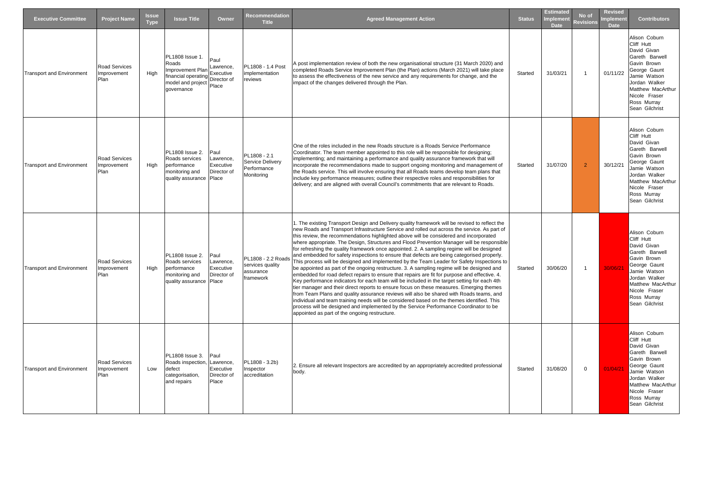| <b>Executive Committee</b>       | <b>Project Name</b>                         | <b>Issue</b><br><b>Type</b> | <b>Issue Title</b>                                                                                     | Owner                                                  | <b>Recommendation</b><br><b>Title</b>                                | <b>Agreed Management Action</b>                                                                                                                                                                                                                                                                                                                                                                                                                                                                                                                                                                                                                                                                                                                                                                                                                                                                                                                                                                                                                                                                                                                                                                                                                                                                                                                                                                                | <b>Status</b> | <b>Estimated</b><br><b>Implement</b><br><b>Date</b> | No of<br><b>Revisions</b> | <b>Revised</b><br><b>Implement</b><br><b>Date</b> | <b>Contributors</b>                                                                                                                                                                                 |
|----------------------------------|---------------------------------------------|-----------------------------|--------------------------------------------------------------------------------------------------------|--------------------------------------------------------|----------------------------------------------------------------------|----------------------------------------------------------------------------------------------------------------------------------------------------------------------------------------------------------------------------------------------------------------------------------------------------------------------------------------------------------------------------------------------------------------------------------------------------------------------------------------------------------------------------------------------------------------------------------------------------------------------------------------------------------------------------------------------------------------------------------------------------------------------------------------------------------------------------------------------------------------------------------------------------------------------------------------------------------------------------------------------------------------------------------------------------------------------------------------------------------------------------------------------------------------------------------------------------------------------------------------------------------------------------------------------------------------------------------------------------------------------------------------------------------------|---------------|-----------------------------------------------------|---------------------------|---------------------------------------------------|-----------------------------------------------------------------------------------------------------------------------------------------------------------------------------------------------------|
| <b>Transport and Environment</b> | <b>Road Services</b><br>Improvement<br>Plan | High                        | PL1808 Issue 1.<br>Roads<br>Improvement Plan<br>financial operating<br>model and project<br>aovernance | Paul<br>_awrence.<br>Executive<br>Director of<br>Place | PL1808 - 1.4 Post<br>implementation<br>reviews                       | A post implementation review of both the new organisational structure (31 March 2020) and<br>completed Roads Service Improvement Plan (the Plan) actions (March 2021) will take place<br>to assess the effectiveness of the new service and any requirements for change, and the<br>impact of the changes delivered through the Plan.                                                                                                                                                                                                                                                                                                                                                                                                                                                                                                                                                                                                                                                                                                                                                                                                                                                                                                                                                                                                                                                                          | Started       | 31/03/21                                            | $\overline{1}$            | 01/11/22                                          | Alison Coburn<br>Cliff Hutt<br>David Givan<br>Gareth Barwell<br>Gavin Brown<br>George Gaunt<br>Jamie Watson<br>Jordan Walker<br>Matthew MacArthur<br>Nicole Fraser<br>Ross Murray<br>Sean Gilchrist |
| <b>Transport and Environment</b> | <b>Road Services</b><br>Improvement<br>Plan | High                        | PL1808 Issue 2.<br>Roads services<br>performance<br>monitoring and<br>quality assurance                | Paul<br>.awrence.<br>Executive<br>Director of<br>Place | PL1808 - 2.1<br><b>Service Delivery</b><br>Performance<br>Monitoring | One of the roles included in the new Roads structure is a Roads Service Performance<br>Coordinator. The team member appointed to this role will be responsible for designing;<br>implementing; and maintaining a performance and quality assurance framework that will<br>incorporate the recommendations made to support ongoing monitoring and management of<br>the Roads service. This will involve ensuring that all Roads teams develop team plans that<br>include key performance measures; outline their respective roles and responsibilities for<br>delivery; and are aligned with overall Council's commitments that are relevant to Roads.                                                                                                                                                                                                                                                                                                                                                                                                                                                                                                                                                                                                                                                                                                                                                          | Started       | 31/07/20                                            | $\overline{2}$            | 30/12/21                                          | Alison Coburn<br>Cliff Hutt<br>David Givan<br>Gareth Barwell<br>Gavin Brown<br>George Gaunt<br>Jamie Watson<br>Jordan Walker<br>Matthew MacArthur<br>Nicole Fraser<br>Ross Murray<br>Sean Gilchrist |
| <b>Transport and Environment</b> | <b>Road Services</b><br>mprovement<br>Plan  | High                        | <b>PL1808</b> Issue 2.<br>Roads services<br>performance<br>monitoring and<br>quality assurance Place   | Paul<br>.awrence,<br>Executive<br>Director of          | PL1808 - 2.2 Roads<br>services quality<br>assurance<br>framework     | 1. The existing Transport Design and Delivery quality framework will be revised to reflect the<br>new Roads and Transport Infrastructure Service and rolled out across the service. As part of<br>this review, the recommendations highlighted above will be considered and incorporated<br>where appropriate. The Design, Structures and Flood Prevention Manager will be responsible<br>for refreshing the quality framework once appointed. 2. A sampling regime will be designed<br>and embedded for safety inspections to ensure that defects are being categorised properly.<br>This process will be designed and implemented by the Team Leader for Safety Inspections to<br>be appointed as part of the ongoing restructure. 3. A sampling regime will be designed and<br>embedded for road defect repairs to ensure that repairs are fit for purpose and effective. 4.<br>Key performance indicators for each team will be included in the target setting for each 4th<br>tier manager and their direct reports to ensure focus on these measures. Emerging themes<br>from Team Plans and quality assurance reviews will also be shared with Roads teams, and<br>individual and team training needs will be considered based on the themes identified. This<br>process will be designed and implemented by the Service Performance Coordinator to be<br>appointed as part of the ongoing restructure. | Started       | 30/06/20                                            |                           | 30/06/2                                           | Alison Coburn<br>Cliff Hutt<br>David Givan<br>Gareth Barwell<br>Gavin Brown<br>George Gaunt<br>Jamie Watson<br>Jordan Walker<br>Matthew MacArthur<br>Nicole Fraser<br>Ross Murray<br>Sean Gilchrist |
| <b>Transport and Environment</b> | <b>Road Services</b><br>Improvement<br>Plan | Low                         | PL1808 Issue 3.<br>Roads inspection,<br>defect<br>categorisation,<br>and repairs                       | Paul<br>Lawrence,<br>Executive<br>Director of<br>Place | PL1808 - 3.2b)<br>Inspector<br>accreditation                         | 2. Ensure all relevant Inspectors are accredited by an appropriately accredited professional<br>body.                                                                                                                                                                                                                                                                                                                                                                                                                                                                                                                                                                                                                                                                                                                                                                                                                                                                                                                                                                                                                                                                                                                                                                                                                                                                                                          | Started       | 31/08/20                                            | $\mathbf 0$               | 01/04/21                                          | Alison Coburn<br>Cliff Hutt<br>David Givan<br>Gareth Barwell<br>Gavin Brown<br>George Gaunt<br>Jamie Watson<br>Jordan Walker<br>Matthew MacArthur<br>Nicole Fraser<br>Ross Murray<br>Sean Gilchrist |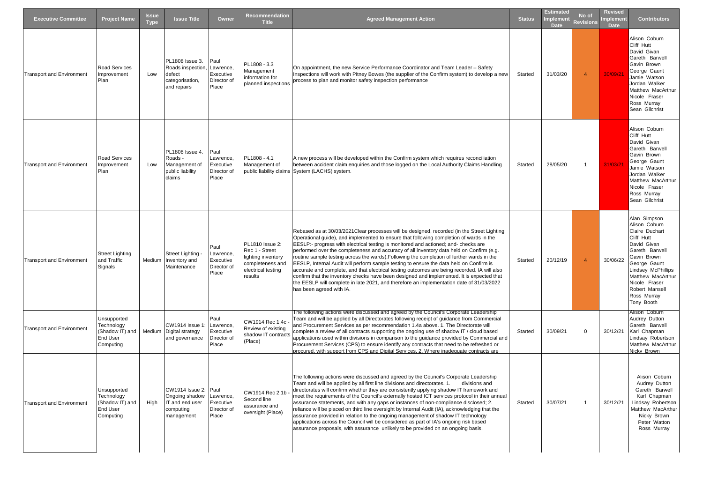| <b>Executive Committee</b>       | <b>Project Name</b>                                                          | <b>Issue</b><br><b>Type</b> | <b>Issue Title</b>                                                                   | Owner                                                  | Recommendation<br><b>Title</b>                                                                               | <b>Agreed Management Action</b>                                                                                                                                                                                                                                                                                                                                                                                                                                                                                                                                                                                                                                                                                                                                                                                                                                                        | <b>Status</b> | <b>Estimated</b><br>mplement<br><b>Date</b> | No of<br><b>Revisions</b> | <b>Revised</b><br>Implement<br><b>Date</b> | <b>Contributors</b>                                                                                                                                                                                                                      |
|----------------------------------|------------------------------------------------------------------------------|-----------------------------|--------------------------------------------------------------------------------------|--------------------------------------------------------|--------------------------------------------------------------------------------------------------------------|----------------------------------------------------------------------------------------------------------------------------------------------------------------------------------------------------------------------------------------------------------------------------------------------------------------------------------------------------------------------------------------------------------------------------------------------------------------------------------------------------------------------------------------------------------------------------------------------------------------------------------------------------------------------------------------------------------------------------------------------------------------------------------------------------------------------------------------------------------------------------------------|---------------|---------------------------------------------|---------------------------|--------------------------------------------|------------------------------------------------------------------------------------------------------------------------------------------------------------------------------------------------------------------------------------------|
| <b>Transport and Environment</b> | Road Services<br>Improvement<br>Plan                                         | Low                         | PL1808 Issue 3.<br>Roads inspection,<br>defect<br>categorisation,<br>and repairs     | Paul<br>Lawrence,<br>Executive<br>Director of<br>Place | PL1808 - 3.3<br>Management<br>information for<br>planned inspections                                         | On appointment, the new Service Performance Coordinator and Team Leader - Safety<br>Inspections will work with Pitney Bowes (the supplier of the Confirm system) to develop a new<br>process to plan and monitor safety inspection performance                                                                                                                                                                                                                                                                                                                                                                                                                                                                                                                                                                                                                                         | Started       | 31/03/20                                    | $\overline{4}$            | 30/09/21                                   | Alison Coburn<br>Cliff Hutt<br>David Givan<br>Gareth Barwell<br>Gavin Brown<br>George Gaunt<br>Jamie Watson<br>Jordan Walker<br>Matthew MacArthur<br>Nicole Fraser<br>Ross Murray<br>Sean Gilchrist                                      |
| <b>Transport and Environment</b> | <b>Road Services</b><br>Improvement<br>Plan                                  | Low                         | PL1808 Issue 4.<br>Roads -<br>Management of<br>public liability<br>claims            | Paul<br>Lawrence,<br>Executive<br>Director of<br>Place | PL1808 - 4.1<br>Management of                                                                                | A new process will be developed within the Confirm system which requires reconciliation<br>between accident claim enquiries and those logged on the Local Authority Claims Handling<br>public liability claims System (LACHS) system.                                                                                                                                                                                                                                                                                                                                                                                                                                                                                                                                                                                                                                                  | Started       | 28/05/20                                    | $\overline{1}$            | 31/03/21                                   | Alison Coburn<br>Cliff Hutt<br>David Givan<br>Gareth Barwell<br>Gavin Brown<br>George Gaunt<br>Jamie Watson<br>Jordan Walker<br>Matthew MacArthur<br>Nicole Fraser<br>Ross Murray<br>Sean Gilchrist                                      |
| <b>Transport and Environment</b> | <b>Street Lighting</b><br>and Traffic<br>Signals                             |                             | <b>Street Lighting</b><br>Medium Inventory and<br>Maintenance                        | Paul<br>Lawrence,<br>Executive<br>Director of<br>Place | PL1810 Issue 2:<br>Rec 1 - Street<br>lighting inventory<br>completeness and<br>electrical testing<br>results | Rebased as at 30/03/2021Clear processes will be designed, recorded (in the Street Lighting<br>Operational guide), and implemented to ensure that following completion of wards in the<br>EESLP:- progress with electrical testing is monitored and actioned; and- checks are<br>performed over the completeness and accuracy of all inventory data held on Confirm (e.g.<br>routine sample testing across the wards). Following the completion of further wards in the<br>EESLP, Internal Audit will perform sample testing to ensure the data held on Confirm is<br>accurate and complete, and that electrical testing outcomes are being recorded. IA will also<br>confirm that the inventory checks have been designed and implemented. It is expected that<br>the EESLP will complete in late 2021, and therefore an implementation date of 31/03/2022<br>has been agreed with IA. | Started       | 20/12/19                                    | $\overline{4}$            | 30/06/22                                   | Alan Simpson<br>Alison Coburn<br>Claire Duchart<br>Cliff Hutt<br>David Givan<br>Gareth Barwell<br>Gavin Brown<br>George Gaunt<br>Lindsey McPhillips<br>Matthew MacArthur<br>Nicole Fraser<br>Robert Mansell<br>Ross Murray<br>Tony Booth |
| <b>Transport and Environment</b> | Unsupported<br>Technology<br>(Shadow IT) and<br>End User<br>Computing        |                             | CW1914 Issue 1:<br>Medium Digital strategy<br>and governance                         | Paul<br>Lawrence,<br>Executive<br>Director of<br>Place | CW1914 Rec 1.4c<br>Review of existing<br>shadow IT contracts<br>(Place)                                      | The following actions were discussed and agreed by the Council's Corporate Leadership<br>Team and will be applied by all Directorates following receipt of guidance from Commercial<br>and Procurement Services as per recommendation 1.4a above. 1. The Directorate will<br>complete a review of all contracts supporting the ongoing use of shadow IT / cloud based<br>applications used within divisions in comparison to the guidance provided by Commercial and<br>Procurement Services (CPS) to ensure identify any contracts that need to be refreshed or<br>procured, with support from CPS and Digital Services. 2. Where inadequate contracts are                                                                                                                                                                                                                            | Started       | 30/09/21                                    | $\overline{0}$            | 30/12/21                                   | Alison Coburn<br>Audrey Dutton<br>Gareth Barwell<br>Karl Chapman<br>Lindsay Robertson<br>Matthew MacArthur<br>Nicky Brown                                                                                                                |
| Transport and Environment        | Unsupported<br>Technology<br>(Shadow IT) and<br><b>End User</b><br>Computing | High                        | CW1914 Issue 2: Paul<br>Ongoing shadow<br>IT and end user<br>computing<br>management | Lawrence,<br>Executive<br>Director of<br>Place         | CW1914 Rec 2.1b<br>Second line<br>assurance and<br>oversight (Place)                                         | The following actions were discussed and agreed by the Council's Corporate Leadership<br>Team and will be applied by all first line divisions and directorates. 1.<br>divisions and<br>directorates will confirm whether they are consistently applying shadow IT framework and<br>meet the requirements of the Council's externally hosted ICT services protocol in their annual<br>assurance statements, and with any gaps or instances of non-compliance disclosed; 2.<br>reliance will be placed on third line oversight by Internal Audit (IA), acknowledging that the<br>assurance provided in relation to the ongoing management of shadow IT technology<br>applications across the Council will be considered as part of IA's ongoing risk based<br>assurance proposals, with assurance unlikely to be provided on an ongoing basis.                                           | Started       | 30/07/21                                    | $\overline{1}$            | 30/12/21                                   | Alison Coburn<br>Audrey Dutton<br>Gareth Barwell<br>Karl Chapman<br>Lindsay Robertson<br>Matthew MacArthur<br>Nicky Brown<br>Peter Watton<br>Ross Murray                                                                                 |